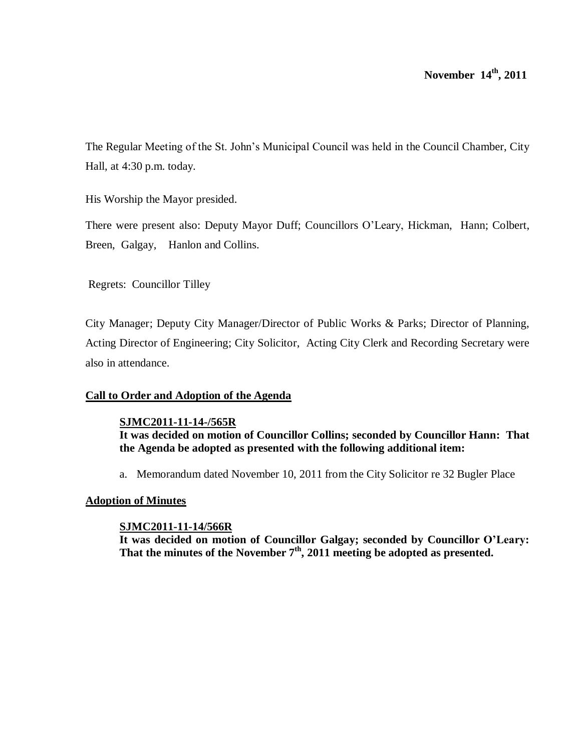The Regular Meeting of the St. John's Municipal Council was held in the Council Chamber, City Hall, at 4:30 p.m. today.

His Worship the Mayor presided.

There were present also: Deputy Mayor Duff; Councillors O'Leary, Hickman, Hann; Colbert, Breen, Galgay, Hanlon and Collins.

Regrets: Councillor Tilley

City Manager; Deputy City Manager/Director of Public Works & Parks; Director of Planning, Acting Director of Engineering; City Solicitor, Acting City Clerk and Recording Secretary were also in attendance.

# **Call to Order and Adoption of the Agenda**

# **SJMC2011-11-14-/565R**

**It was decided on motion of Councillor Collins; seconded by Councillor Hann: That the Agenda be adopted as presented with the following additional item:**

a. Memorandum dated November 10, 2011 from the City Solicitor re 32 Bugler Place

# **Adoption of Minutes**

# **SJMC2011-11-14/566R**

**It was decided on motion of Councillor Galgay; seconded by Councillor O'Leary: That the minutes of the November 7th , 2011 meeting be adopted as presented.**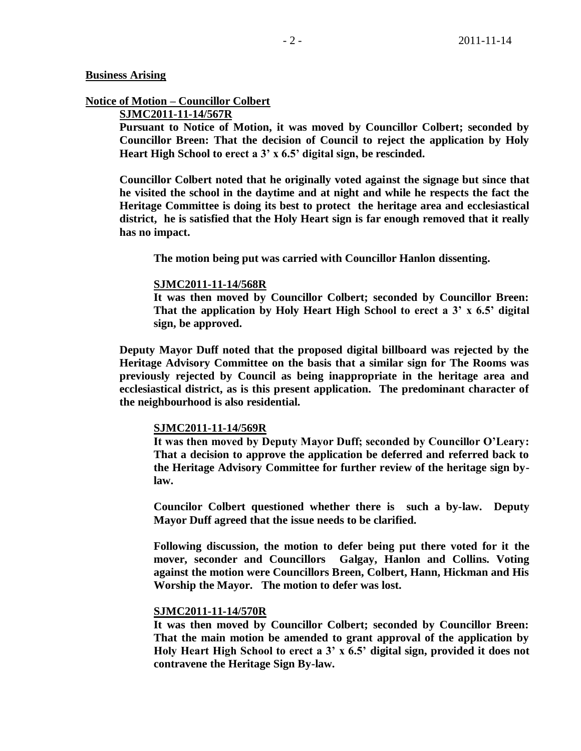## **Business Arising**

# **Notice of Motion – Councillor Colbert**

# **SJMC2011-11-14/567R**

**Pursuant to Notice of Motion, it was moved by Councillor Colbert; seconded by Councillor Breen: That the decision of Council to reject the application by Holy Heart High School to erect a 3' x 6.5' digital sign, be rescinded.**

**Councillor Colbert noted that he originally voted against the signage but since that he visited the school in the daytime and at night and while he respects the fact the Heritage Committee is doing its best to protect the heritage area and ecclesiastical district, he is satisfied that the Holy Heart sign is far enough removed that it really has no impact.**

**The motion being put was carried with Councillor Hanlon dissenting.**

### **SJMC2011-11-14/568R**

**It was then moved by Councillor Colbert; seconded by Councillor Breen: That the application by Holy Heart High School to erect a 3' x 6.5' digital sign, be approved.**

**Deputy Mayor Duff noted that the proposed digital billboard was rejected by the Heritage Advisory Committee on the basis that a similar sign for The Rooms was previously rejected by Council as being inappropriate in the heritage area and ecclesiastical district, as is this present application. The predominant character of the neighbourhood is also residential.** 

## **SJMC2011-11-14/569R**

**It was then moved by Deputy Mayor Duff; seconded by Councillor O'Leary: That a decision to approve the application be deferred and referred back to the Heritage Advisory Committee for further review of the heritage sign bylaw.**

**Councilor Colbert questioned whether there is such a by-law. Deputy Mayor Duff agreed that the issue needs to be clarified.** 

**Following discussion, the motion to defer being put there voted for it the mover, seconder and Councillors Galgay, Hanlon and Collins. Voting against the motion were Councillors Breen, Colbert, Hann, Hickman and His Worship the Mayor. The motion to defer was lost.**

## **SJMC2011-11-14/570R**

**It was then moved by Councillor Colbert; seconded by Councillor Breen: That the main motion be amended to grant approval of the application by Holy Heart High School to erect a 3' x 6.5' digital sign, provided it does not contravene the Heritage Sign By-law.**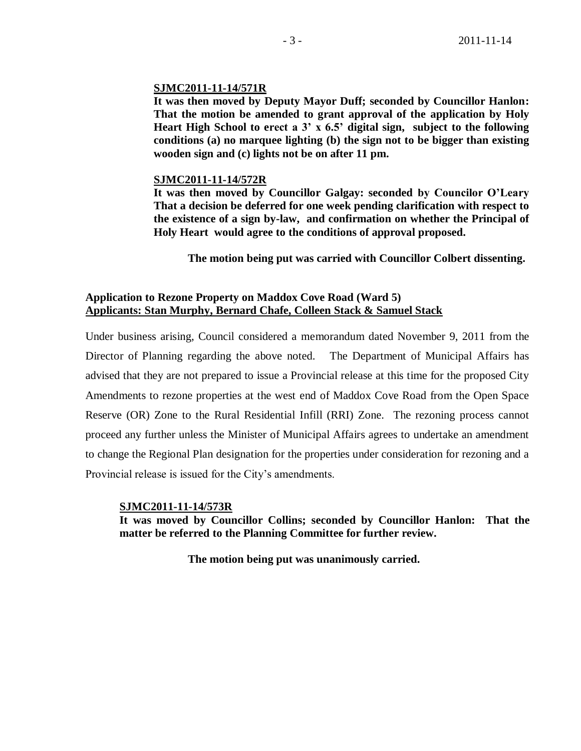## **SJMC2011-11-14/571R**

**It was then moved by Deputy Mayor Duff; seconded by Councillor Hanlon: That the motion be amended to grant approval of the application by Holy Heart High School to erect a 3' x 6.5' digital sign, subject to the following conditions (a) no marquee lighting (b) the sign not to be bigger than existing wooden sign and (c) lights not be on after 11 pm.**

## **SJMC2011-11-14/572R**

**It was then moved by Councillor Galgay: seconded by Councilor O'Leary That a decision be deferred for one week pending clarification with respect to the existence of a sign by-law, and confirmation on whether the Principal of Holy Heart would agree to the conditions of approval proposed.**

**The motion being put was carried with Councillor Colbert dissenting.**

# **Application to Rezone Property on Maddox Cove Road (Ward 5) Applicants: Stan Murphy, Bernard Chafe, Colleen Stack & Samuel Stack**

Under business arising, Council considered a memorandum dated November 9, 2011 from the Director of Planning regarding the above noted. The Department of Municipal Affairs has advised that they are not prepared to issue a Provincial release at this time for the proposed City Amendments to rezone properties at the west end of Maddox Cove Road from the Open Space Reserve (OR) Zone to the Rural Residential Infill (RRI) Zone. The rezoning process cannot proceed any further unless the Minister of Municipal Affairs agrees to undertake an amendment to change the Regional Plan designation for the properties under consideration for rezoning and a Provincial release is issued for the City's amendments.

## **SJMC2011-11-14/573R**

**It was moved by Councillor Collins; seconded by Councillor Hanlon: That the matter be referred to the Planning Committee for further review.** 

**The motion being put was unanimously carried.**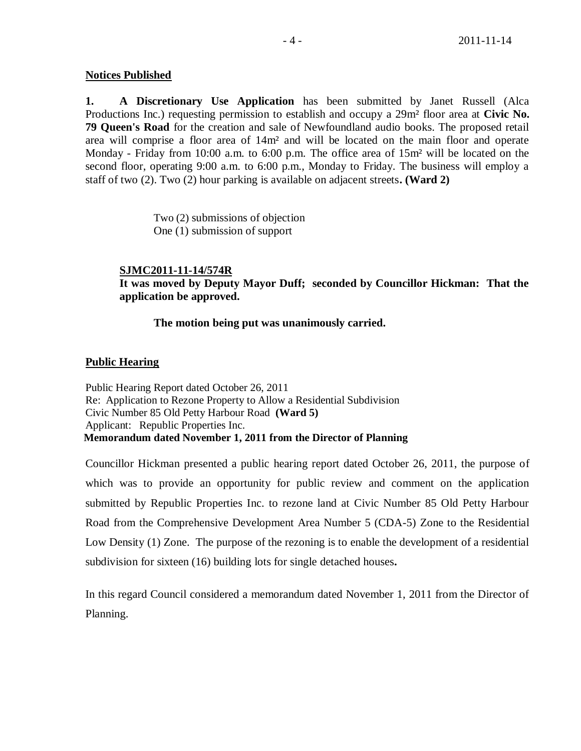# **Notices Published**

**1. A Discretionary Use Application** has been submitted by Janet Russell (Alca Productions Inc.) requesting permission to establish and occupy a 29m² floor area at **Civic No. 79 Queen's Road** for the creation and sale of Newfoundland audio books. The proposed retail area will comprise a floor area of 14m² and will be located on the main floor and operate Monday - Friday from 10:00 a.m. to 6:00 p.m. The office area of 15m² will be located on the second floor, operating 9:00 a.m. to 6:00 p.m., Monday to Friday. The business will employ a staff of two (2). Two (2) hour parking is available on adjacent streets**. (Ward 2)** 

> Two (2) submissions of objection One (1) submission of support

## **SJMC2011-11-14/574R**

**It was moved by Deputy Mayor Duff; seconded by Councillor Hickman: That the application be approved.**

## **The motion being put was unanimously carried.**

# **Public Hearing**

Public Hearing Report dated October 26, 2011 Re: Application to Rezone Property to Allow a Residential Subdivision Civic Number 85 Old Petty Harbour Road **(Ward 5)** Applicant: Republic Properties Inc. **Memorandum dated November 1, 2011 from the Director of Planning**

Councillor Hickman presented a public hearing report dated October 26, 2011, the purpose of which was to provide an opportunity for public review and comment on the application submitted by Republic Properties Inc. to rezone land at Civic Number 85 Old Petty Harbour Road from the Comprehensive Development Area Number 5 (CDA-5) Zone to the Residential Low Density (1) Zone. The purpose of the rezoning is to enable the development of a residential subdivision for sixteen (16) building lots for single detached houses**.**

In this regard Council considered a memorandum dated November 1, 2011 from the Director of Planning.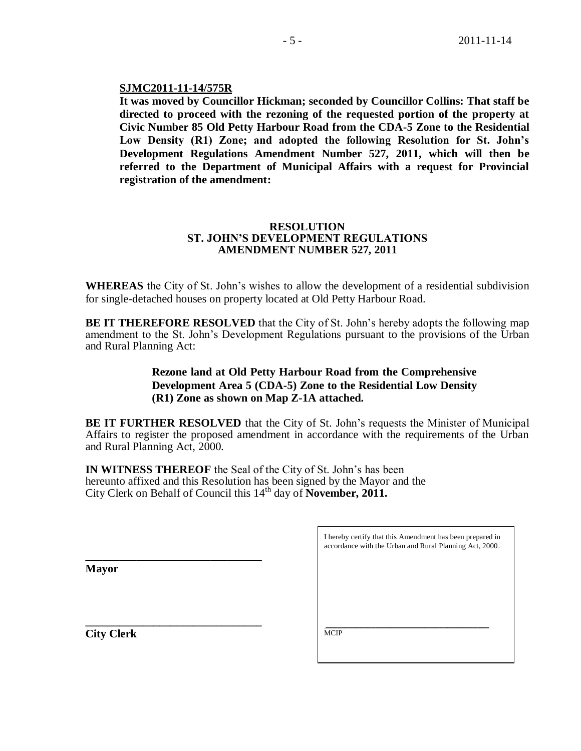## **SJMC2011-11-14/575R**

**It was moved by Councillor Hickman; seconded by Councillor Collins: That staff be directed to proceed with the rezoning of the requested portion of the property at Civic Number 85 Old Petty Harbour Road from the CDA-5 Zone to the Residential Low Density (R1) Zone; and adopted the following Resolution for St. John's Development Regulations Amendment Number 527, 2011, which will then be referred to the Department of Municipal Affairs with a request for Provincial registration of the amendment:**

## **RESOLUTION ST. JOHN'S DEVELOPMENT REGULATIONS AMENDMENT NUMBER 527, 2011**

**WHEREAS** the City of St. John's wishes to allow the development of a residential subdivision for single-detached houses on property located at Old Petty Harbour Road.

**BE IT THEREFORE RESOLVED** that the City of St. John's hereby adopts the following map amendment to the St. John's Development Regulations pursuant to the provisions of the Urban and Rural Planning Act:

# **Rezone land at Old Petty Harbour Road from the Comprehensive Development Area 5 (CDA-5) Zone to the Residential Low Density (R1) Zone as shown on Map Z-1A attached.**

**BE IT FURTHER RESOLVED** that the City of St. John's requests the Minister of Municipal Affairs to register the proposed amendment in accordance with the requirements of the Urban and Rural Planning Act, 2000.

**IN WITNESS THEREOF** the Seal of the City of St. John's has been hereunto affixed and this Resolution has been signed by the Mayor and the City Clerk on Behalf of Council this 14<sup>th</sup> day of **November, 2011.** 

**Mayor**

**\_\_\_\_\_\_\_\_\_\_\_\_\_\_\_\_\_\_\_\_\_\_\_\_\_\_\_\_\_\_\_**

**\_\_\_\_\_\_\_\_\_\_\_\_\_\_\_\_\_\_\_\_\_\_\_\_\_\_\_\_\_\_\_ City Clerk**

I hereby certify that this Amendment has been prepared in accordance with the Urban and Rural Planning Act, 2000.

\_\_\_\_\_\_\_\_\_\_\_\_\_\_\_\_\_\_\_\_\_\_\_\_\_\_\_\_\_\_\_\_\_\_\_\_\_\_\_\_\_\_\_ **MCIP**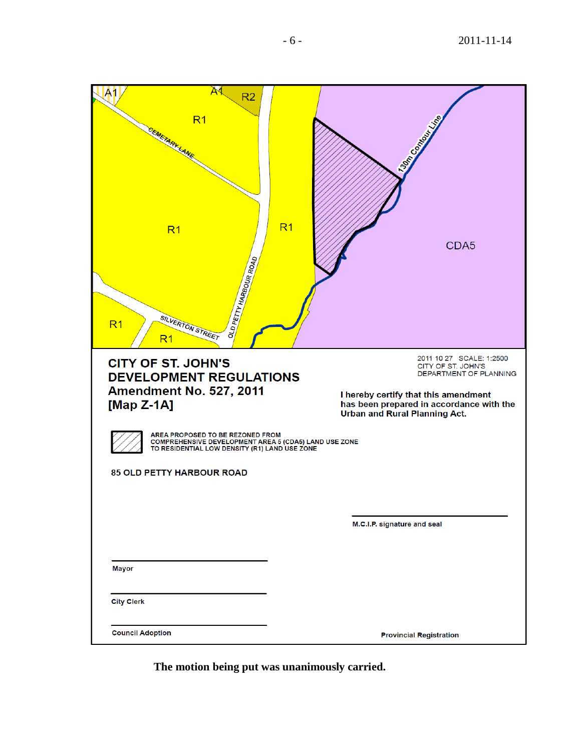| <b>A</b><br>$\mathsf{A}1$<br>R <sub>2</sub><br>R <sub>1</sub><br><b>CEMETARY LANE</b><br>R <sub>1</sub><br>OLD PETTY HARBOUR ROAD<br>SILVERTON STREET<br>R <sub>1</sub>                                                                                                                          | <b>RIGHTSON ROAD</b><br>R <sub>1</sub><br>CDA <sub>5</sub>                                                                                                                                                                   |
|--------------------------------------------------------------------------------------------------------------------------------------------------------------------------------------------------------------------------------------------------------------------------------------------------|------------------------------------------------------------------------------------------------------------------------------------------------------------------------------------------------------------------------------|
| <b>CITY OF ST. JOHN'S</b><br><b>DEVELOPMENT REGULATIONS</b><br><b>Amendment No. 527, 2011</b><br>[Map $Z-1A$ ]<br>AREA PROPOSED TO BE REZONED FROM<br>COMPREHENSIVE DEVELOPMENT AREA 5 (CDA5) LAND USE ZONE<br>TO RESIDENTIAL LOW DENSITY (R1) LAND USE ZONE<br><b>85 OLD PETTY HARBOUR ROAD</b> | 2011 10 27 SCALE: 1:2500<br>CITY OF ST. JOHN'S<br>DEPARTMENT OF PLANNING<br>I hereby certify that this amendment<br>has been prepared in accordance with the<br>Urban and Rural Planning Act.<br>M.C.I.P. signature and seal |
| <b>Mayor</b><br><b>City Clerk</b>                                                                                                                                                                                                                                                                |                                                                                                                                                                                                                              |
| <b>Council Adoption</b>                                                                                                                                                                                                                                                                          | <b>Provincial Registration</b>                                                                                                                                                                                               |

**The motion being put was unanimously carried.**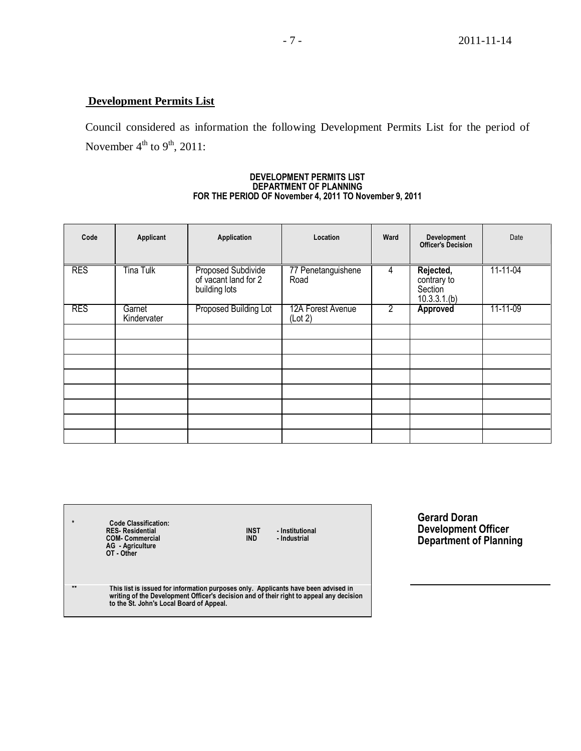# **Development Permits List**

Council considered as information the following Development Permits List for the period of November  $4^{\text{th}}$  to  $9^{\text{th}}$ , 2011:

#### **DEVELOPMENT PERMITS LIST DEPARTMENT OF PLANNING FOR THE PERIOD OF November 4, 2011 TO November 9, 2011**

| Code       | Applicant             | Application                                                 | Location                     | Ward           | Development<br><b>Officer's Decision</b>           | Date     |
|------------|-----------------------|-------------------------------------------------------------|------------------------------|----------------|----------------------------------------------------|----------|
| <b>RES</b> | <b>Tina Tulk</b>      | Proposed Subdivide<br>of vacant land for 2<br>building lots | 77 Penetanguishene<br>Road   | 4              | Rejected,<br>contrary to<br>Section<br>10.3.3.1(b) | 11-11-04 |
| <b>RES</b> | Garnet<br>Kindervater | Proposed Building Lot                                       | 12A Forest Avenue<br>(Lot 2) | $\overline{2}$ | Approved                                           | 11-11-09 |
|            |                       |                                                             |                              |                |                                                    |          |
|            |                       |                                                             |                              |                |                                                    |          |
|            |                       |                                                             |                              |                |                                                    |          |
|            |                       |                                                             |                              |                |                                                    |          |
|            |                       |                                                             |                              |                |                                                    |          |
|            |                       |                                                             |                              |                |                                                    |          |
|            |                       |                                                             |                              |                |                                                    |          |
|            |                       |                                                             |                              |                |                                                    |          |

| $\star$ | <b>Code Classification:</b><br><b>RES-Residential</b><br><b>COM- Commercial</b><br><b>AG</b> - Agriculture<br>OT - Other | <b>INST</b><br>- Institutional<br><b>IND</b><br>- Industrial |  |
|---------|--------------------------------------------------------------------------------------------------------------------------|--------------------------------------------------------------|--|
| مقابلها |                                                                                                                          |                                                              |  |

**Gerard Doran Development Officer Department of Planning**

\*\* This list is issued for information purposes only. Applicants have been advised in<br>writing of the Development Officer's decision and of their right to appeal any decision<br>to the St. John's Local Board of Appeal.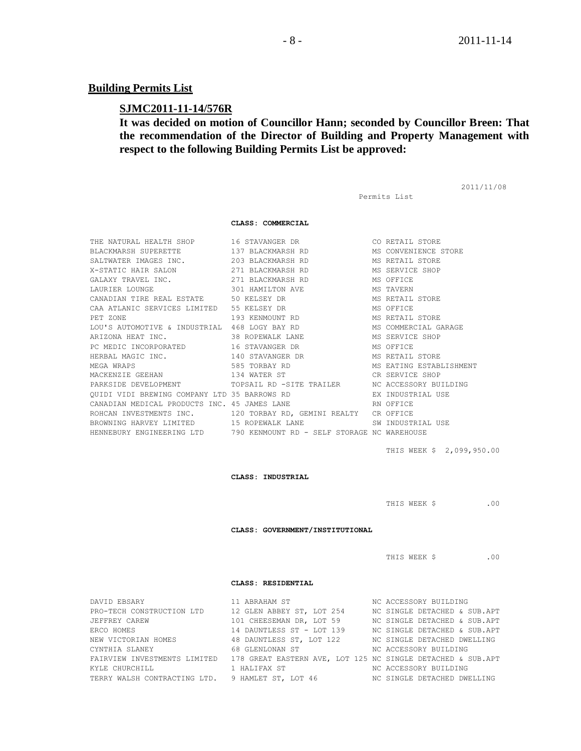### **Building Permits List**

### **SJMC2011-11-14/576R**

# **It was decided on motion of Councillor Hann; seconded by Councillor Breen: That the recommendation of the Director of Building and Property Management with respect to the following Building Permits List be approved:**

2011/11/08

Permits List

THIS WEEK \$ 2,099,950.00

**CLASS: INDUSTRIAL**

BROWNING HARVEY LIMITED 15 ROPEWALK LANE 10 SW INDUSTRIAL USE HENNEBURY ENGINEERING LTD 790 KENMOUNT RD - SELF STORAGE NC WAREHOUSE

MEGA WRAPS 585 TORBAY RD 685 MS EATING ESTABLISHMENT

MACKENZIE GEEHAN 134 WATER ST CR SERVICE SHOP PARKSIDE DEVELOPMENT TOPSAIL RD -SITE TRAILER NC ACCESSORY BUILDING QUIDI VIDI BREWING COMPANY LTD 35 BARROWS RD **EX INDUSTRIAL USE** 

CANADIAN MEDICAL PRODUCTS INC. 45 JAMES LANE RN OFFICE ROHCAN INVESTMENTS INC. 120 TORBAY RD, GEMINI REALTY CR OFFICE

**CLASS: COMMERCIAL** THE NATURAL HEALTH SHOP 16 STAVANGER DR CO RETAIL STORE BLACKMARSH SUPERETTE 137 BLACKMARSH RD MS CONVENIENCE STORE SALTWATER IMAGES INC.  $203$  BLACKMARSH RD MS RETAIL STORE X-STATIC HAIR SALON 271 BLACKMARSH RD MS SERVICE SHOP GALAXY TRAVEL INC. 271 BLACKMARSH RD MS OFFICE LAURIER LOUNGE 301 HAMILTON AVE MS TAVERN CANADIAN TIRE REAL ESTATE 50 KELSEY DR MS RETAIL STORE CAA ATLANIC SERVICES LIMITED 55 KELSEY DR MS OFFICE PET ZONE 193 KENMOUNT RD MS RETAIL STORE LOU'S AUTOMOTIVE & INDUSTRIAL 468 LOGY BAY RD MS COMMERCIAL GARAGE ARIZONA HEAT INC. 38 ROPEWALK LANE MS SERVICE SHOP PC MEDIC INCORPORATED 16 STAVANGER DR MS OFFICE HERBAL MAGIC INC. 140 STAVANGER DR MS RETAIL STORE

THIS WEEK \$ .00

**CLASS: GOVERNMENT/INSTITUTIONAL**

THIS WEEK \$ .00

#### **CLASS: RESIDENTIAL**

| DAVID EBSARY                                                  | 11 ABRAHAM ST                                                                | NC ACCESSORY BUILDING        |
|---------------------------------------------------------------|------------------------------------------------------------------------------|------------------------------|
| PRO-TECH CONSTRUCTION LTD                                     | 12 GLEN ABBEY ST, LOT 254                                                    | NC SINGLE DETACHED & SUB.APT |
| JEFFREY CAREW                                                 | 101 CHEESEMAN DR, LOT 59                                                     | NC SINGLE DETACHED & SUB.APT |
| ERCO HOMES                                                    | 14 DAUNTLESS ST - LOT 139                                                    | NC SINGLE DETACHED & SUB.APT |
| NEW VICTORIAN HOMES                                           | 48 DAUNTLESS ST, LOT 122 MC SINGLE DETACHED DWELLING                         |                              |
| CYNTHIA SLANEY                                68 GLENLONAN ST |                                                                              | NC ACCESSORY BUILDING        |
| FAIRVIEW INVESTMENTS LIMITED                                  | 178 GREAT EASTERN AVE, LOT 125 NC SINGLE DETACHED & SUB.APT                  |                              |
| KYLE CHURCHILL                                                | 1 HALIFAX ST                                                                 | NC ACCESSORY BUILDING        |
|                                                               | TERRY WALSH CONTRACTING LTD. 9 HAMLET ST, LOT 46 NO SINGLE DETACHED DWELLING |                              |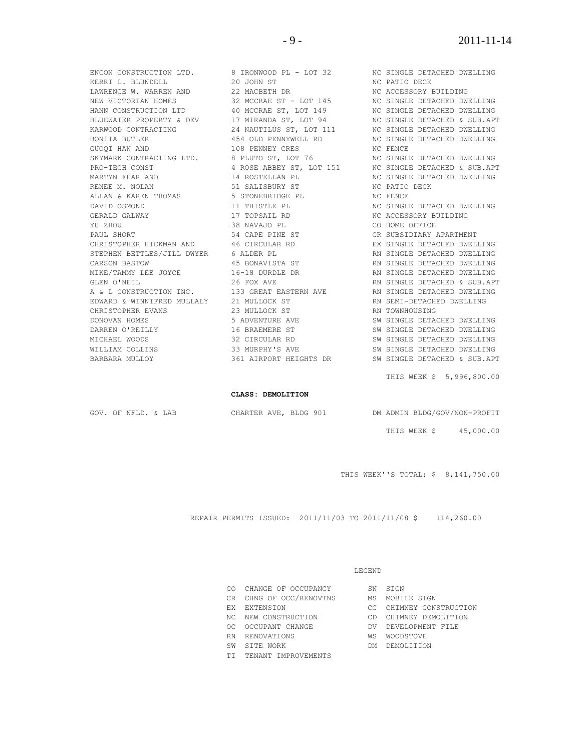ENCON CONSTRUCTION LTD. 8 IRONWOOD PL - LOT 32 NC SINGLE DETACHED DWELLING KERRI L. BLUNDELL 20 JOHN ST AND ARRENGED AND DECK NO PATIO DECK DENNIS DETAILS AND 22 MACBETH DR LAWRENCE W. WARREN AND 22 MACBETH DR NO ACCESSORY BUILDING NEW VICTORIAN HOMES 32 MCCRAE ST - LOT 145 NC SINGLE DETACHED DWELLING HANN CONSTRUCTION LTD 40 MCCRAE ST, LOT 149 NC SINGLE DETACHED DWELLING BLUEWATER PROPERTY & DEV 17 MIRANDA ST, LOT 94 NC SINGLE DETACHED & SUB.APT KARWOOD CONTRACTING  $\begin{array}{ccc} 24 & \text{NAUTHUS ST, }10T & 111 & \text{NC$ **SINGLE DETACHED DWELLING** BONITA BUTLER 454 OLD PENNYWELL RD NC SINGLE DETACHED DWELLING GUOQI HAN AND 108 PENNEY CRES NC FENCE SKYMARK CONTRACTING LTD. 8 PLUTO ST, LOT 76 NC SINGLE DETACHED DWELLING PRO-TECH CONST THE ROSE ABBEY ST, LOT 151 NO SINGLE DETACHED & SUB.APT MARTYN FEAR AND 14 ROSTELLAN PL NC SINGLE DETACHED DWELLING RENEE M. NOLAN 51 SALISBURY ST NORTH ST NORTH NO BECK ALLAN & KAREN THOMAS 5 STONEBRIDGE PL 3 NC FENCE DAVID OSMOND 11 THISTLE PL NC SINGLE DETACHED DWELLING GERALD GALWAY 17 TOPSAIL RD NC ACCESSORY BUILDING YU ZHOU 38 NAVAJO PL CO HOME OFFICE PAUL SHORT THE ST THE ST THAT SHORT APARTMENT CHRISTOPHER HICKMAN AND 46 CIRCULAR RD **EX SINGLE DETACHED DWELLING** STEPHEN BETTLES/JILL DWYER 6 ALDER PL **RIGHT READS AND SINGLE DETACHED DWELLING** CARSON BASTOW **15 BONAVISTA ST** RN SINGLE DETACHED DWELLING MIKE/TAMMY LEE JOYCE 16-18 DURDLE DR RN SINGLE DETACHED DWELLING GLEN O'NEIL 26 FOX AVE RN SINGLE DETACHED & SUB.APT A & L CONSTRUCTION INC. 133 GREAT EASTERN AVE RN SINGLE DETACHED DWELLING EDWARD & WINNIFRED MULLALY 21 MULLOCK ST **RIGHT RIGHT RIGHT** DETACHED DWELLING CHRISTOPHER EVANS 23 MULLOCK ST RN TOWNHOUSING DONOVAN HOMES 6 SADVENTURE AVE SW SINGLE DETACHED DWELLING DARREN O'REILLY **16 BRAEMERE ST** SW SINGLE DETACHED DWELLING MICHAEL WOODS 32 CIRCULAR RD SW SINGLE DETACHED DWELLING WILLIAM COLLINS 33 MURPHY'S AVE SW SINGLE DETACHED DWELLING BARBARA MULLOY 361 AIRPORT HEIGHTS DR SW SINGLE DETACHED & SUB.APT

THIS WEEK \$ 5,996,800.00

#### **CLASS: DEMOLITION**

GOV. OF NFLD. & LAB CHARTER AVE, BLDG 901 DM ADMIN BLDG/GOV/NON-PROFIT

THIS WEEK \$ 45,000.00

THIS WEEK''S TOTAL: \$ 8,141,750.00

REPAIR PERMITS ISSUED: 2011/11/03 TO 2011/11/08 \$ 114,260.00

#### LEGEND

| CO. | CHANGE OF OCCUPANCY     | SN  | STGN                    |
|-----|-------------------------|-----|-------------------------|
|     | CR CHNG OF OCC/RENOVTNS | МS  | MOBILE SIGN             |
|     | EX EXTENSION            |     | CC CHIMNEY CONSTRUCTION |
|     | NC NEW CONSTRUCTION     | CD. | CHIMNEY DEMOLITION      |
| OC. | OCCUPANT CHANGE         | DV. | DEVELOPMENT FILE        |
| RN. | RENOVATIONS             | WS  | WOODSTOVE               |
| SW  | STTE WORK               | DM. | DEMOLITTION             |
| TT. | TENANT IMPROVEMENTS     |     |                         |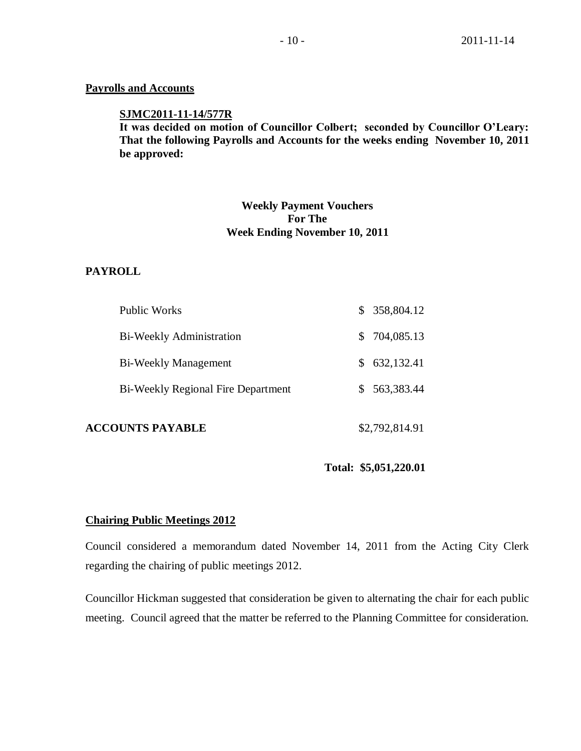## **Payrolls and Accounts**

## **SJMC2011-11-14/577R**

**It was decided on motion of Councillor Colbert; seconded by Councillor O'Leary: That the following Payrolls and Accounts for the weeks ending November 10, 2011 be approved:** 

# **Weekly Payment Vouchers For The Week Ending November 10, 2011**

## **PAYROLL**

| <b>ACCOUNTS PAYABLE</b>                   | \$2,792,814.91   |
|-------------------------------------------|------------------|
| <b>Bi-Weekly Regional Fire Department</b> | \$563,383.44     |
| <b>Bi-Weekly Management</b>               | 632,132.41<br>S. |
| <b>Bi-Weekly Administration</b>           | \$704,085.13     |
| Public Works                              | \$358,804.12     |

**Total: \$5,051,220.01**

## **Chairing Public Meetings 2012**

Council considered a memorandum dated November 14, 2011 from the Acting City Clerk regarding the chairing of public meetings 2012.

Councillor Hickman suggested that consideration be given to alternating the chair for each public meeting. Council agreed that the matter be referred to the Planning Committee for consideration.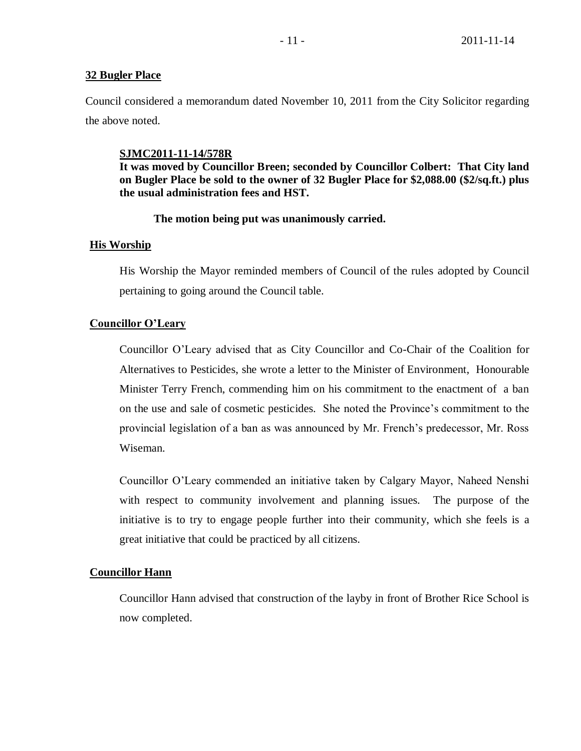## **32 Bugler Place**

Council considered a memorandum dated November 10, 2011 from the City Solicitor regarding the above noted.

## **SJMC2011-11-14/578R**

**It was moved by Councillor Breen; seconded by Councillor Colbert: That City land on Bugler Place be sold to the owner of 32 Bugler Place for \$2,088.00 (\$2/sq.ft.) plus the usual administration fees and HST.** 

# **The motion being put was unanimously carried.**

## **His Worship**

His Worship the Mayor reminded members of Council of the rules adopted by Council pertaining to going around the Council table.

# **Councillor O'Leary**

Councillor O'Leary advised that as City Councillor and Co-Chair of the Coalition for Alternatives to Pesticides, she wrote a letter to the Minister of Environment, Honourable Minister Terry French, commending him on his commitment to the enactment of a ban on the use and sale of cosmetic pesticides. She noted the Province's commitment to the provincial legislation of a ban as was announced by Mr. French's predecessor, Mr. Ross Wiseman.

Councillor O'Leary commended an initiative taken by Calgary Mayor, Naheed Nenshi with respect to community involvement and planning issues. The purpose of the initiative is to try to engage people further into their community, which she feels is a great initiative that could be practiced by all citizens.

# **Councillor Hann**

Councillor Hann advised that construction of the layby in front of Brother Rice School is now completed.